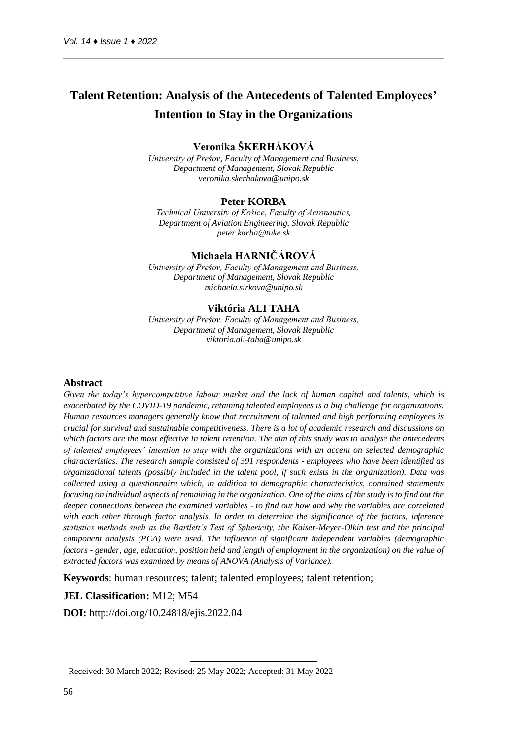# **Talent Retention: Analysis of the Antecedents of Talented Employees' Intention to Stay in the Organizations**

#### **Veronika ŠKERHÁKOVÁ**

*University of Prešov, Faculty of Management and Business, Department of Management, Slovak Republic veronika.skerhakova@unipo.sk*

#### **Peter KORBA**

*Technical University of Košice, Faculty of Aeronautics, Department of Aviation Engineering, Slovak Republic peter.korba@tuke.sk*

### **Michaela HARNIČÁROVÁ**

*University of Prešov, Faculty of Management and Business, Department of Management, Slovak Republic michaela.sirkova@unipo.sk*

#### **Viktória ALI TAHA**

*University of Prešov, Faculty of Management and Business, Department of Management, Slovak Republic viktoria.ali-taha@unipo.sk*

#### Abstract

*Given the today's hypercompetitive labour market and the lack of human capital and talents, which is exacerbated by the COVID-19 pandemic, retaining talented employees is a big challenge for organizations. Human resources managers generally know that recruitment of talented and high performing employees is crucial for survival and sustainable competitiveness. There is a lot of academic research and discussions on which factors are the most effective in talent retention. The aim of this study was to analyse the antecedents of talented employees' intention to stay with the organizations with an accent on selected demographic characteristics. The research sample consisted of 391 respondents - employees who have been identified as organizational talents (possibly included in the talent pool, if such exists in the organization). Data was collected using a questionnaire which, in addition to demographic characteristics, contained statements focusing on individual aspects of remaining in the organization. One of the aims of the study is to find out the deeper connections between the examined variables - to find out how and why the variables are correlated with each other through factor analysis. In order to determine the significance of the factors, inference statistics methods such as the Bartlett's Test of Sphericity, the Kaiser-Meyer-Olkin test and the principal component analysis (PCA) were used. The influence of significant independent variables (demographic factors - gender, age, education, position held and length of employment in the organization) on the value of extracted factors was examined by means of ANOVA (Analysis of Variance).*

**Keywords**: human resources; talent; talented employees; talent retention;

#### **JEL Classification:** M12; M54

**DOI:** http://doi.org/10.24818/ejis.2022.04

<sup>1</sup> Received: 30 March 2022; Revised: 25 May 2022; Accepted: 31 May 2022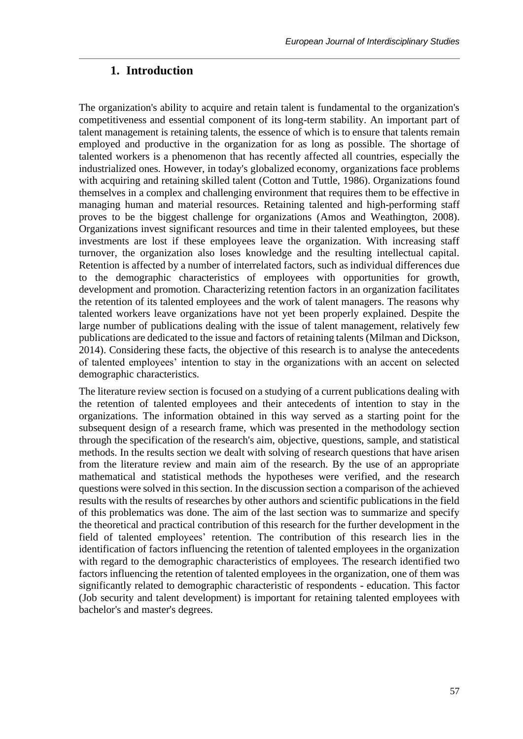### **1. Introduction**

The organization's ability to acquire and retain talent is fundamental to the organization's competitiveness and essential component of its long-term stability. An important part of talent management is retaining talents, the essence of which is to ensure that talents remain employed and productive in the organization for as long as possible. The shortage of talented workers is a phenomenon that has recently affected all countries, especially the industrialized ones. However, in today's globalized economy, organizations face problems with acquiring and retaining skilled talent (Cotton and Tuttle, 1986). Organizations found themselves in a complex and challenging environment that requires them to be effective in managing human and material resources. Retaining talented and high-performing staff proves to be the biggest challenge for organizations (Amos and Weathington, 2008). Organizations invest significant resources and time in their talented employees, but these investments are lost if these employees leave the organization. With increasing staff turnover, the organization also loses knowledge and the resulting intellectual capital. Retention is affected by a number of interrelated factors, such as individual differences due to the demographic characteristics of employees with opportunities for growth, development and promotion. Characterizing retention factors in an organization facilitates the retention of its talented employees and the work of talent managers. The reasons why talented workers leave organizations have not yet been properly explained. Despite the large number of publications dealing with the issue of talent management, relatively few publications are dedicated to the issue and factors of retaining talents (Milman and Dickson, 2014). Considering these facts, the objective of this research is to analyse the antecedents of talented employees' intention to stay in the organizations with an accent on selected demographic characteristics.

The literature review section is focused on a studying of a current publications dealing with the retention of talented employees and their antecedents of intention to stay in the organizations. The information obtained in this way served as a starting point for the subsequent design of a research frame, which was presented in the methodology section through the specification of the research's aim, objective, questions, sample, and statistical methods. In the results section we dealt with solving of research questions that have arisen from the literature review and main aim of the research. By the use of an appropriate mathematical and statistical methods the hypotheses were verified, and the research questions were solved in this section. In the discussion section a comparison of the achieved results with the results of researches by other authors and scientific publications in the field of this problematics was done. The aim of the last section was to summarize and specify the theoretical and practical contribution of this research for the further development in the field of talented employees' retention. The contribution of this research lies in the identification of factors influencing the retention of talented employees in the organization with regard to the demographic characteristics of employees. The research identified two factors influencing the retention of talented employees in the organization, one of them was significantly related to demographic characteristic of respondents - education. This factor (Job security and talent development) is important for retaining talented employees with bachelor's and master's degrees.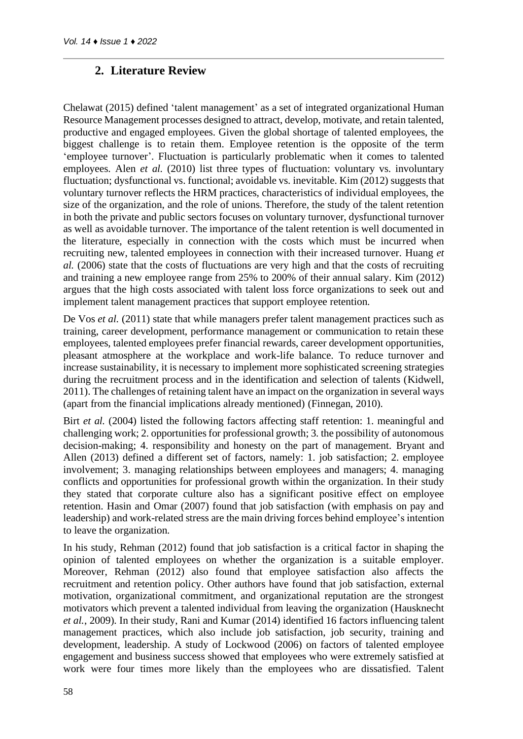## **2. Literature Review**

Chelawat (2015) defined 'talent management' as a set of integrated organizational Human Resource Management processes designed to attract, develop, motivate, and retain talented, productive and engaged employees. Given the global shortage of talented employees, the biggest challenge is to retain them. Employee retention is the opposite of the term 'employee turnover'. Fluctuation is particularly problematic when it comes to talented employees. Alen *et al.* (2010) list three types of fluctuation: voluntary vs. involuntary fluctuation; dysfunctional vs. functional; avoidable vs. inevitable. Kim (2012) suggests that voluntary turnover reflects the HRM practices, characteristics of individual employees, the size of the organization, and the role of unions. Therefore, the study of the talent retention in both the private and public sectors focuses on voluntary turnover, dysfunctional turnover as well as avoidable turnover. The importance of the talent retention is well documented in the literature, especially in connection with the costs which must be incurred when recruiting new, talented employees in connection with their increased turnover. Huang *et al.* (2006) state that the costs of fluctuations are very high and that the costs of recruiting and training a new employee range from 25% to 200% of their annual salary. Kim (2012) argues that the high costs associated with talent loss force organizations to seek out and implement talent management practices that support employee retention.

De Vos *et al.* (2011) state that while managers prefer talent management practices such as training, career development, performance management or communication to retain these employees, talented employees prefer financial rewards, career development opportunities, pleasant atmosphere at the workplace and work-life balance. To reduce turnover and increase sustainability, it is necessary to implement more sophisticated screening strategies during the recruitment process and in the identification and selection of talents (Kidwell, 2011). The challenges of retaining talent have an impact on the organization in several ways (apart from the financial implications already mentioned) (Finnegan, 2010).

Birt *et al.* (2004) listed the following factors affecting staff retention: 1. meaningful and challenging work; 2. opportunities for professional growth; 3. the possibility of autonomous decision-making; 4. responsibility and honesty on the part of management. Bryant and Allen (2013) defined a different set of factors, namely: 1. job satisfaction; 2. employee involvement; 3. managing relationships between employees and managers; 4. managing conflicts and opportunities for professional growth within the organization. In their study they stated that corporate culture also has a significant positive effect on employee retention. Hasin and Omar (2007) found that job satisfaction (with emphasis on pay and leadership) and work-related stress are the main driving forces behind employee's intention to leave the organization.

In his study, Rehman (2012) found that job satisfaction is a critical factor in shaping the opinion of talented employees on whether the organization is a suitable employer. Moreover, Rehman (2012) also found that employee satisfaction also affects the recruitment and retention policy. Other authors have found that job satisfaction, external motivation, organizational commitment, and organizational reputation are the strongest motivators which prevent a talented individual from leaving the organization (Hausknecht *et al.*, 2009). In their study, Rani and Kumar (2014) identified 16 factors influencing talent management practices, which also include job satisfaction, job security, training and development, leadership. A study of Lockwood (2006) on factors of talented employee engagement and business success showed that employees who were extremely satisfied at work were four times more likely than the employees who are dissatisfied. Talent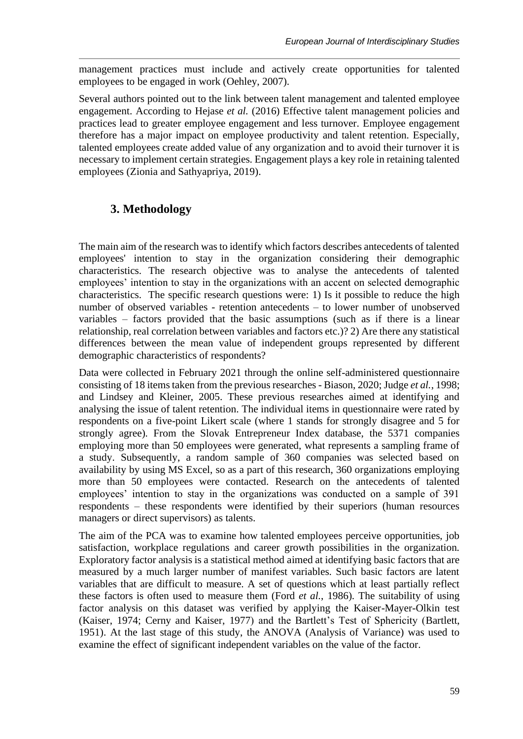management practices must include and actively create opportunities for talented employees to be engaged in work (Oehley, 2007).

Several authors pointed out to the link between talent management and talented employee engagement. According to Hejase *et al.* (2016) Effective talent management policies and practices lead to greater employee engagement and less turnover. Employee engagement therefore has a major impact on employee productivity and talent retention. Especially, talented employees create added value of any organization and to avoid their turnover it is necessary to implement certain strategies. Engagement plays a key role in retaining talented employees (Zionia and Sathyapriya, 2019).

## **3. Methodology**

The main aim of the research was to identify which factors describes antecedents of talented employees' intention to stay in the organization considering their demographic characteristics. The research objective was to analyse the antecedents of talented employees' intention to stay in the organizations with an accent on selected demographic characteristics. The specific research questions were: 1) Is it possible to reduce the high number of observed variables - retention antecedents – to lower number of unobserved variables – factors provided that the basic assumptions (such as if there is a linear relationship, real correlation between variables and factors etc.)? 2) Are there any statistical differences between the mean value of independent groups represented by different demographic characteristics of respondents?

Data were collected in February 2021 through the online self-administered questionnaire consisting of 18 items taken from the previous researches - Biason, 2020; Judge *et al.*, 1998; and Lindsey and Kleiner, 2005. These previous researches aimed at identifying and analysing the issue of talent retention. The individual items in questionnaire were rated by respondents on a five-point Likert scale (where 1 stands for strongly disagree and 5 for strongly agree). From the Slovak Entrepreneur Index database, the 5371 companies employing more than 50 employees were generated, what represents a sampling frame of a study. Subsequently, a random sample of 360 companies was selected based on availability by using MS Excel, so as a part of this research, 360 organizations employing more than 50 employees were contacted. Research on the antecedents of talented employees' intention to stay in the organizations was conducted on a sample of 391 respondents – these respondents were identified by their superiors (human resources managers or direct supervisors) as talents.

The aim of the PCA was to examine how talented employees perceive opportunities, job satisfaction, workplace regulations and career growth possibilities in the organization. Exploratory factor analysis is a statistical method aimed at identifying basic factors that are measured by a much larger number of manifest variables. Such basic factors are latent variables that are difficult to measure. A set of questions which at least partially reflect these factors is often used to measure them (Ford *et al.*, 1986). The suitability of using factor analysis on this dataset was verified by applying the Kaiser-Mayer-Olkin test (Kaiser, 1974; Cerny and Kaiser, 1977) and the Bartlett's Test of Sphericity (Bartlett, 1951). At the last stage of this study, the ANOVA (Analysis of Variance) was used to examine the effect of significant independent variables on the value of the factor.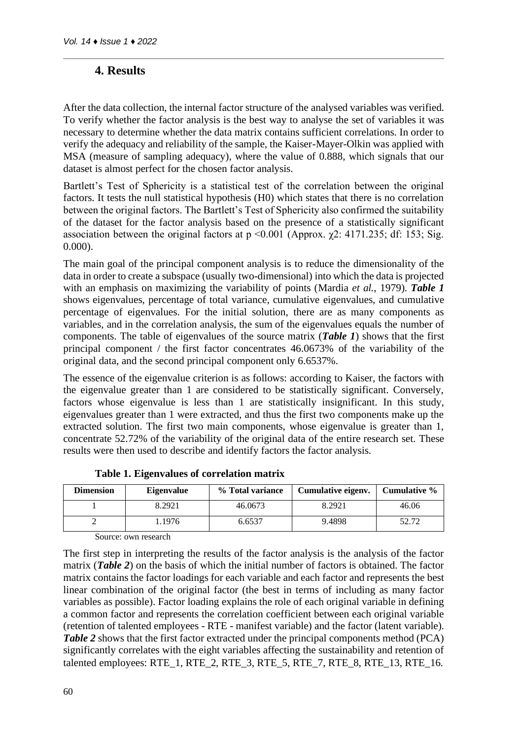## **4. Results**

After the data collection, the internal factor structure of the analysed variables was verified. To verify whether the factor analysis is the best way to analyse the set of variables it was necessary to determine whether the data matrix contains sufficient correlations. In order to verify the adequacy and reliability of the sample, the Kaiser-Mayer-Olkin was applied with MSA (measure of sampling adequacy), where the value of 0.888, which signals that our dataset is almost perfect for the chosen factor analysis.

Bartlett's Test of Sphericity is a statistical test of the correlation between the original factors. It tests the null statistical hypothesis (H0) which states that there is no correlation between the original factors. The Bartlett's Test of Sphericity also confirmed the suitability of the dataset for the factor analysis based on the presence of a statistically significant association between the original factors at  $p \le 0.001$  (Approx.  $\chi$ 2: 4171.235; df: 153; Sig. 0.000).

The main goal of the principal component analysis is to reduce the dimensionality of the data in order to create a subspace (usually two-dimensional) into which the data is projected with an emphasis on maximizing the variability of points (Mardia *et al.*, 1979). *Table 1* shows eigenvalues, percentage of total variance, cumulative eigenvalues, and cumulative percentage of eigenvalues. For the initial solution, there are as many components as variables, and in the correlation analysis, the sum of the eigenvalues equals the number of components. The table of eigenvalues of the source matrix (*Table 1*) shows that the first principal component / the first factor concentrates 46.0673% of the variability of the original data, and the second principal component only 6.6537%.

The essence of the eigenvalue criterion is as follows: according to Kaiser, the factors with the eigenvalue greater than 1 are considered to be statistically significant. Conversely, factors whose eigenvalue is less than 1 are statistically insignificant. In this study, eigenvalues greater than 1 were extracted, and thus the first two components make up the extracted solution. The first two main components, whose eigenvalue is greater than 1, concentrate 52.72% of the variability of the original data of the entire research set. These results were then used to describe and identify factors the factor analysis.

| <b>Dimension</b> | <b>Eigenvalue</b> | % Total variance | Cumulative eigenv. | Cumulative % |
|------------------|-------------------|------------------|--------------------|--------------|
|                  | 8.2921            | 46.0673          | 8.2921             | 46.06        |
|                  | .1976             | 6.6537           | 9.4898             | 52.72        |
| $\sim$           |                   |                  |                    |              |

**Table 1. Eigenvalues of correlation matrix**

Source: own research

The first step in interpreting the results of the factor analysis is the analysis of the factor matrix (*Table 2*) on the basis of which the initial number of factors is obtained. The factor matrix contains the factor loadings for each variable and each factor and represents the best linear combination of the original factor (the best in terms of including as many factor variables as possible). Factor loading explains the role of each original variable in defining a common factor and represents the correlation coefficient between each original variable (retention of talented employees - RTE - manifest variable) and the factor (latent variable). *Table 2* shows that the first factor extracted under the principal components method (PCA) significantly correlates with the eight variables affecting the sustainability and retention of talented employees: RTE\_1, RTE\_2, RTE\_3, RTE\_5, RTE\_7, RTE\_8, RTE\_13, RTE\_16.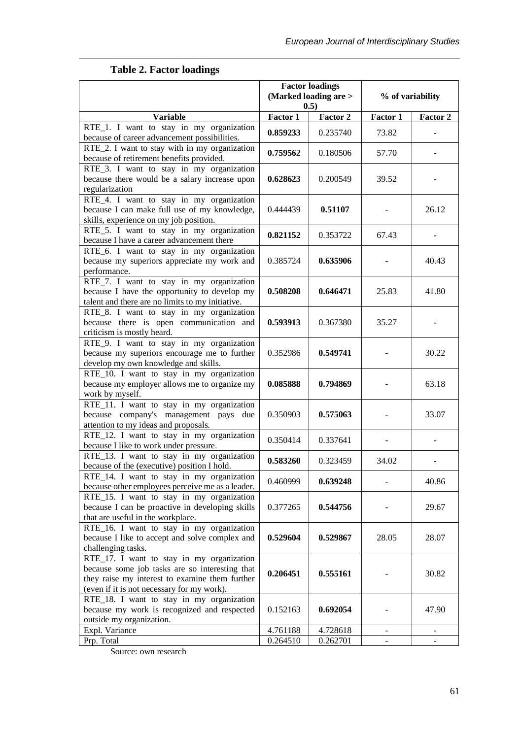| <b>Factor loadings</b>                                                                                                                                                                      |                       |          |                  |                |  |  |
|---------------------------------------------------------------------------------------------------------------------------------------------------------------------------------------------|-----------------------|----------|------------------|----------------|--|--|
|                                                                                                                                                                                             | (Marked loading are > |          | % of variability |                |  |  |
|                                                                                                                                                                                             | 0.5)                  |          |                  |                |  |  |
| <b>Variable</b>                                                                                                                                                                             | Factor 1              | Factor 2 | Factor 1         | Factor 2       |  |  |
| RTE_1. I want to stay in my organization<br>because of career advancement possibilities.                                                                                                    | 0.859233              | 0.235740 | 73.82            |                |  |  |
| RTE_2. I want to stay with in my organization<br>because of retirement benefits provided.                                                                                                   | 0.759562              | 0.180506 | 57.70            |                |  |  |
| RTE_3. I want to stay in my organization<br>because there would be a salary increase upon<br>regularization                                                                                 | 0.628623              | 0.200549 | 39.52            |                |  |  |
| RTE_4. I want to stay in my organization<br>because I can make full use of my knowledge,<br>skills, experience on my job position.                                                          | 0.444439              | 0.51107  |                  | 26.12          |  |  |
| RTE_5. I want to stay in my organization<br>because I have a career advancement there                                                                                                       | 0.821152              | 0.353722 | 67.43            |                |  |  |
| RTE_6. I want to stay in my organization<br>because my superiors appreciate my work and<br>performance.                                                                                     | 0.385724              | 0.635906 |                  | 40.43          |  |  |
| RTE_7. I want to stay in my organization<br>because I have the opportunity to develop my<br>talent and there are no limits to my initiative.                                                | 0.508208              | 0.646471 | 25.83            | 41.80          |  |  |
| RTE_8. I want to stay in my organization<br>because there is open communication and<br>criticism is mostly heard.                                                                           | 0.593913              | 0.367380 | 35.27            |                |  |  |
| RTE_9. I want to stay in my organization<br>because my superiors encourage me to further<br>develop my own knowledge and skills.                                                            | 0.352986              | 0.549741 |                  | 30.22          |  |  |
| RTE_10. I want to stay in my organization<br>because my employer allows me to organize my<br>work by myself.                                                                                | 0.085888              | 0.794869 |                  | 63.18          |  |  |
| RTE_11. I want to stay in my organization<br>because company's management pays due<br>attention to my ideas and proposals.                                                                  | 0.350903              | 0.575063 |                  | 33.07          |  |  |
| RTE_12. I want to stay in my organization<br>because I like to work under pressure.                                                                                                         | 0.350414              | 0.337641 |                  |                |  |  |
| RTE_13. I want to stay in my organization<br>because of the (executive) position I hold.                                                                                                    | 0.583260              | 0.323459 | 34.02            |                |  |  |
| RTE_14. I want to stay in my organization<br>because other employees perceive me as a leader.                                                                                               | 0.460999              | 0.639248 |                  | 40.86          |  |  |
| RTE_15. I want to stay in my organization<br>because I can be proactive in developing skills<br>that are useful in the workplace.                                                           | 0.377265              | 0.544756 |                  | 29.67          |  |  |
| RTE_16. I want to stay in my organization<br>because I like to accept and solve complex and<br>challenging tasks.                                                                           | 0.529604              | 0.529867 | 28.05            | 28.07          |  |  |
| RTE_17. I want to stay in my organization<br>because some job tasks are so interesting that<br>they raise my interest to examine them further<br>(even if it is not necessary for my work). | 0.206451              | 0.555161 |                  | 30.82          |  |  |
| RTE_18. I want to stay in my organization<br>because my work is recognized and respected<br>outside my organization.                                                                        | 0.152163              | 0.692054 |                  | 47.90          |  |  |
| Expl. Variance                                                                                                                                                                              | 4.761188              | 4.728618 | $\blacksquare$   | $\blacksquare$ |  |  |
| Prp. Total                                                                                                                                                                                  | 0.264510              | 0.262701 |                  |                |  |  |

## **Table 2. Factor loadings**

Source: own research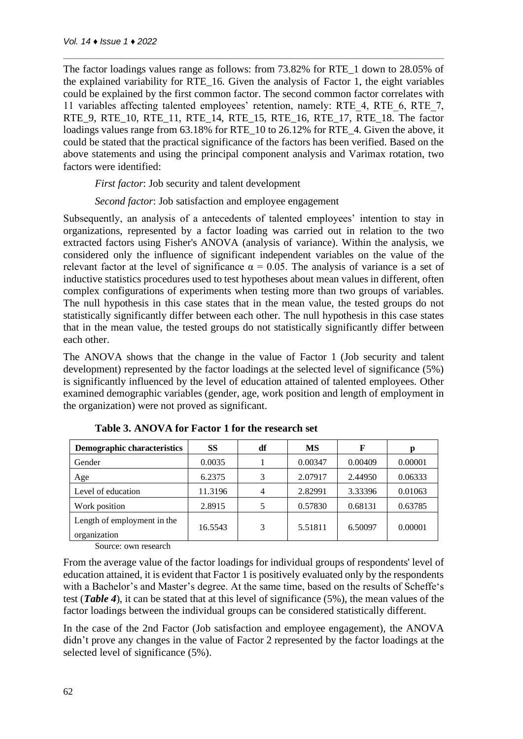The factor loadings values range as follows: from 73.82% for RTE\_1 down to 28.05% of the explained variability for RTE\_16. Given the analysis of Factor 1, the eight variables could be explained by the first common factor. The second common factor correlates with 11 variables affecting talented employees' retention, namely: RTE\_4, RTE\_6, RTE\_7, RTE 9, RTE 10, RTE 11, RTE 14, RTE 15, RTE 16, RTE 17, RTE 18. The factor loadings values range from 63.18% for RTE 10 to 26.12% for RTE 4. Given the above, it could be stated that the practical significance of the factors has been verified. Based on the above statements and using the principal component analysis and Varimax rotation, two factors were identified:

*First factor*: Job security and talent development

*Second factor*: Job satisfaction and employee engagement

Subsequently, an analysis of a antecedents of talented employees' intention to stay in organizations, represented by a factor loading was carried out in relation to the two extracted factors using Fisher's ANOVA (analysis of variance). Within the analysis, we considered only the influence of significant independent variables on the value of the relevant factor at the level of significance  $\alpha = 0.05$ . The analysis of variance is a set of inductive statistics procedures used to test hypotheses about mean values in different, often complex configurations of experiments when testing more than two groups of variables. The null hypothesis in this case states that in the mean value, the tested groups do not statistically significantly differ between each other. The null hypothesis in this case states that in the mean value, the tested groups do not statistically significantly differ between each other.

The ANOVA shows that the change in the value of Factor 1 (Job security and talent development) represented by the factor loadings at the selected level of significance (5%) is significantly influenced by the level of education attained of talented employees. Other examined demographic variables (gender, age, work position and length of employment in the organization) were not proved as significant.

| <b>Demographic characteristics</b>          | SS      | df | <b>MS</b> | F       | р       |
|---------------------------------------------|---------|----|-----------|---------|---------|
| Gender                                      | 0.0035  |    | 0.00347   | 0.00409 | 0.00001 |
| Age                                         | 6.2375  | 2  | 2.07917   | 2.44950 | 0.06333 |
| Level of education                          | 11.3196 |    | 2.82991   | 3.33396 | 0.01063 |
| Work position                               | 2.8915  |    | 0.57830   | 0.68131 | 0.63785 |
| Length of employment in the<br>organization | 16.5543 | 3  | 5.51811   | 6.50097 | 0.00001 |

| Table 3. ANOVA for Factor 1 for the research set |
|--------------------------------------------------|
|--------------------------------------------------|

Source: own research

From the average value of the factor loadings for individual groups of respondents' level of education attained, it is evident that Factor 1 is positively evaluated only by the respondents with a Bachelor's and Master's degree. At the same time, based on the results of Scheffe's test (*Table 4*), it can be stated that at this level of significance (5%), the mean values of the factor loadings between the individual groups can be considered statistically different.

In the case of the 2nd Factor (Job satisfaction and employee engagement), the ANOVA didn't prove any changes in the value of Factor 2 represented by the factor loadings at the selected level of significance (5%).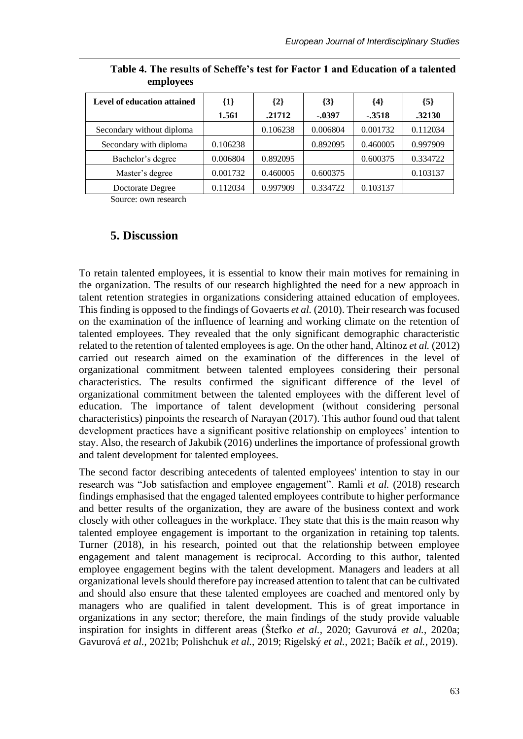| Level of education attained | $\{1\}$  | $\{2\}$  | ${3}$    | {4}      | ${5}$    |
|-----------------------------|----------|----------|----------|----------|----------|
|                             | 1.561    | .21712   | $-.0397$ | $-3518$  | .32130   |
| Secondary without diploma   |          | 0.106238 | 0.006804 | 0.001732 | 0.112034 |
| Secondary with diploma      | 0.106238 |          | 0.892095 | 0.460005 | 0.997909 |
| Bachelor's degree           | 0.006804 | 0.892095 |          | 0.600375 | 0.334722 |
| Master's degree             | 0.001732 | 0.460005 | 0.600375 |          | 0.103137 |
| Doctorate Degree            | 0.112034 | 0.997909 | 0.334722 | 0.103137 |          |

**Table 4. The results of Scheffe's test for Factor 1 and Education of a talented employees**

Source: own research

### **5. Discussion**

To retain talented employees, it is essential to know their main motives for remaining in the organization. The results of our research highlighted the need for a new approach in talent retention strategies in organizations considering attained education of employees. This finding is opposed to the findings of Govaerts *et al.* (2010). Their research was focused on the examination of the influence of learning and working climate on the retention of talented employees. They revealed that the only significant demographic characteristic related to the retention of talented employees is age. On the other hand, Altinoz *et al.* (2012) carried out research aimed on the examination of the differences in the level of organizational commitment between talented employees considering their personal characteristics. The results confirmed the significant difference of the level of organizational commitment between the talented employees with the different level of education. The importance of talent development (without considering personal characteristics) pinpoints the research of Narayan (2017). This author found oud that talent development practices have a significant positive relationship on employees' intention to stay. Also, the research of Jakubik (2016) underlines the importance of professional growth and talent development for talented employees.

The second factor describing antecedents of talented employees' intention to stay in our research was "Job satisfaction and employee engagement". Ramli *et al.* (2018) research findings emphasised that the engaged talented employees contribute to higher performance and better results of the organization, they are aware of the business context and work closely with other colleagues in the workplace. They state that this is the main reason why talented employee engagement is important to the organization in retaining top talents. Turner (2018), in his research, pointed out that the relationship between employee engagement and talent management is reciprocal. According to this author, talented employee engagement begins with the talent development. Managers and leaders at all organizational levels should therefore pay increased attention to talent that can be cultivated and should also ensure that these talented employees are coached and mentored only by managers who are qualified in talent development. This is of great importance in organizations in any sector; therefore, the main findings of the study provide valuable inspiration for insights in different areas (Štefko *et al.*, 2020; Gavurová *et al.*, 2020a; Gavurová *et al.*, 2021b; Polishchuk *et al.*, 2019; Rigelský *et al.*, 2021; Bačík *et al.*, 2019).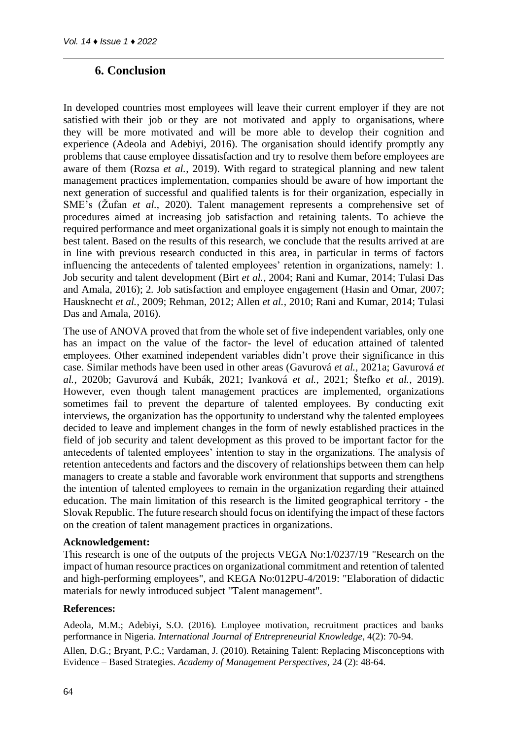### **6. Conclusion**

In developed countries most employees will leave their current employer if they are not satisfied with their job or they are not motivated and apply to organisations, where they will be more motivated and will be more able to develop their cognition and experience (Adeola and Adebiyi, 2016). The organisation should identify promptly any problems that cause employee dissatisfaction and try to resolve them before employees are aware of them (Rozsa *et al.*, 2019). With regard to strategical planning and new talent management practices implementation, companies should be aware of how important the next generation of successful and qualified talents is for their organization, especially in SME's (Žufan *et al.*, 2020). Talent management represents a comprehensive set of procedures aimed at increasing job satisfaction and retaining talents. To achieve the required performance and meet organizational goals it is simply not enough to maintain the best talent. Based on the results of this research, we conclude that the results arrived at are in line with previous research conducted in this area, in particular in terms of factors influencing the antecedents of talented employees' retention in organizations, namely: 1. Job security and talent development (Birt *et al.*, 2004; Rani and Kumar, 2014; Tulasi Das and Amala, 2016); 2. Job satisfaction and employee engagement (Hasin and Omar, 2007; Hausknecht *et al.*, 2009; Rehman, 2012; Allen *et al.*, 2010; Rani and Kumar, 2014; Tulasi Das and Amala, 2016).

The use of ANOVA proved that from the whole set of five independent variables, only one has an impact on the value of the factor- the level of education attained of talented employees. Other examined independent variables didn't prove their significance in this case. Similar methods have been used in other areas (Gavurová *et al.*, 2021a; Gavurová *et al.*, 2020b; Gavurová and Kubák, 2021; Ivanková *et al.*, 2021; Štefko *et al.*, 2019). However, even though talent management practices are implemented, organizations sometimes fail to prevent the departure of talented employees. By conducting exit interviews, the organization has the opportunity to understand why the talented employees decided to leave and implement changes in the form of newly established practices in the field of job security and talent development as this proved to be important factor for the antecedents of talented employees' intention to stay in the organizations. The analysis of retention antecedents and factors and the discovery of relationships between them can help managers to create a stable and favorable work environment that supports and strengthens the intention of talented employees to remain in the organization regarding their attained education. The main limitation of this research is the limited geographical territory - the Slovak Republic. The future research should focus on identifying the impact of these factors on the creation of talent management practices in organizations.

#### **Acknowledgement:**

This research is one of the outputs of the projects VEGA No:1/0237/19 "Research on the impact of human resource practices on organizational commitment and retention of talented and high-performing employees", and KEGA No:012PU-4/2019: "Elaboration of didactic materials for newly introduced subject "Talent management".

#### **References:**

Adeola, M.M.; Adebiyi, S.O. (2016). Employee motivation, recruitment practices and banks performance in Nigeria. *International Journal of Entrepreneurial Knowledge*, 4(2): 70-94.

Allen, D.G.; Bryant, P.C.; Vardaman, J. (2010). Retaining Talent: Replacing Misconceptions with Evidence – Based Strategies. *Academy of Management Perspectives*, 24 (2): 48-64.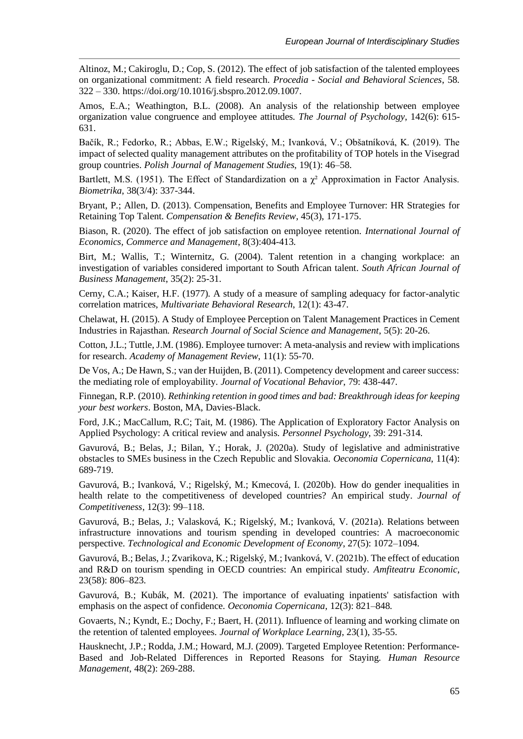Altinoz, M.; Cakiroglu, D.; Cop, S. (2012). The effect of job satisfaction of the talented employees on organizational commitment: A field research. *Procedia - Social and Behavioral Sciences*, 58. 322 – 330. https://doi.org/10.1016/j.sbspro.2012.09.1007.

Amos, E.A.; Weathington, B.L. (2008). An analysis of the relationship between employee organization value congruence and employee attitudes. *The Journal of Psychology*, 142(6): 615- 631.

Bačík, R.; Fedorko, R.; Abbas, E.W.; Rigelský, M.; Ivanková, V.; Obšatníková, K. (2019). The impact of selected quality management attributes on the profitability of TOP hotels in the Visegrad group countries. *Polish Journal of Management Studies*, 19(1): 46–58.

Bartlett, M.S. (1951). The Effect of Standardization on a  $\gamma^2$  Approximation in Factor Analysis. *Biometrika*, 38(3/4): 337-344.

Bryant, P.; Allen, D. (2013). Compensation, Benefits and Employee Turnover: HR Strategies for Retaining Top Talent. *Compensation & Benefits Review*, 45(3), 171-175.

Biason, R. (2020). The effect of job satisfaction on employee retention. *International Journal of Economics, Commerce and Management*, 8(3):404-413.

Birt, M.; Wallis, T.; Winternitz, G. (2004). Talent retention in a changing workplace: an investigation of variables considered important to South African talent. *South African Journal of Business Management*, 35(2): 25-31.

Cerny, C.A.; Kaiser, H.F. (1977). A study of a measure of sampling adequacy for factor-analytic correlation matrices, *Multivariate Behavioral Research*, 12(1): 43-47.

Chelawat, H. (2015). A Study of Employee Perception on Talent Management Practices in Cement Industries in Rajasthan. *Research Journal of Social Science and Management*, 5(5): 20-26.

Cotton, J.L.; Tuttle, J.M. (1986). Employee turnover: A meta-analysis and review with implications for research. *Academy of Management Review*, 11(1): 55-70.

De Vos, A.; De Hawn, S.; van der Huijden, B. (2011). Competency development and career success: the mediating role of employability. *Journal of Vocational Behavior*, 79: 438-447.

Finnegan, R.P. (2010). *Rethinking retention in good times and bad: Breakthrough ideas for keeping your best workers*. Boston, MA, Davies-Black.

Ford, J.K.; MacCallum, R.C; Tait, M. (1986). The Application of Exploratory Factor Analysis on Applied Psychology: A critical review and analysis. *Personnel Psychology*, 39: 291-314.

Gavurová, B.; Belas, J.; Bilan, Y.; Horak, J. (2020a). Study of legislative and administrative obstacles to SMEs business in the Czech Republic and Slovakia. *Oeconomia Copernicana*, 11(4): 689-719.

Gavurová, B.; Ivanková, V.; Rigelský, M.; Kmecová, I. (2020b). How do gender inequalities in health relate to the competitiveness of developed countries? An empirical study. *Journal of Competitiveness*, 12(3): 99–118.

Gavurová, B.; Belas, J.; Valasková, K.; Rigelský, M.; Ivanková, V. (2021a). Relations between infrastructure innovations and tourism spending in developed countries: A macroeconomic perspective. *Technological and Economic Development of Economy*, 27(5): 1072–1094.

Gavurová, B.; Belas, J.; Zvarikova, K.; Rigelský, M.; Ivanková, V. (2021b). The effect of education and R&D on tourism spending in OECD countries: An empirical study. *Amfiteatru Economic*, 23(58): 806–823.

Gavurová, B.; Kubák, M. (2021). The importance of evaluating inpatients' satisfaction with emphasis on the aspect of confidence. *Oeconomia Copernicana*, 12(3): 821–848.

Govaerts, N.; Kyndt, E.; Dochy, F.; Baert, H. (2011). Influence of learning and working climate on the retention of talented employees. *Journal of Workplace Learning*, 23(1), 35-55.

Hausknecht, J.P.; Rodda, J.M.; Howard, M.J. (2009). Targeted Employee Retention: Performance-Based and Job-Related Differences in Reported Reasons for Staying. *Human Resource Management*, 48(2): 269-288.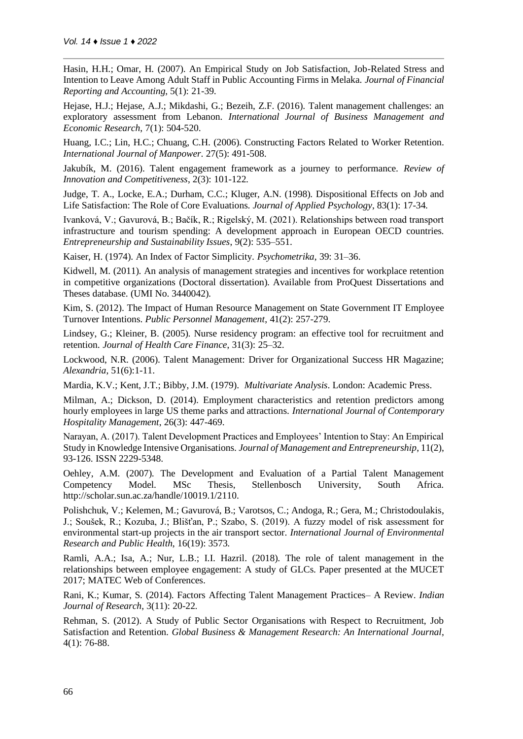Hasin, H.H.; Omar, H. (2007). An Empirical Study on Job Satisfaction, Job-Related Stress and Intention to Leave Among Adult Staff in Public Accounting Firms in Melaka. *Journal of Financial Reporting and Accounting*, 5(1): 21-39.

Hejase, H.J.; Hejase, A.J.; Mikdashi, G.; Bezeih, Z.F. (2016). Talent management challenges: an exploratory assessment from Lebanon. *International Journal of Business Management and Economic Research*, 7(1): 504-520.

Huang, I.C.; Lin, H.C.; Chuang, C.H. (2006). Constructing Factors Related to Worker Retention. *International Journal of Manpower*. 27(5): 491-508.

Jakubík, M. (2016). Talent engagement framework as a journey to performance. *Review of Innovation and Competitiveness*, 2(3): 101-122.

Judge, T. A., Locke, E.A.; Durham, C.C.; Kluger, A.N. (1998). Dispositional Effects on Job and Life Satisfaction: The Role of Core Evaluations. *Journal of Applied Psychology*, 83(1): 17-34.

Ivanková, V.; Gavurová, B.; Bačík, R.; Rigelský, M. (2021). Relationships between road transport infrastructure and tourism spending: A development approach in European OECD countries. *Entrepreneurship and Sustainability Issues*, 9(2): 535–551.

Kaiser, H. (1974). An Index of Factor Simplicity. *Psychometrika*, 39: 31–36.

Kidwell, M. (2011). An analysis of management strategies and incentives for workplace retention in competitive organizations (Doctoral dissertation). Available from ProQuest Dissertations and Theses database. (UMI No. 3440042).

Kim, S. (2012). The Impact of Human Resource Management on State Government IT Employee Turnover Intentions. *Public Personnel Management*, 41(2): 257-279.

Lindsey, G.; Kleiner, B. (2005). Nurse residency program: an effective tool for recruitment and retention. *Journal of Health Care Finance*, 31(3): 25–32.

Lockwood, N.R. (2006). Talent Management: Driver for Organizational Success HR Magazine; *Alexandria*, 51(6):1-11.

Mardia, K.V.; Kent, J.T.; Bibby, J.M. (1979). *Multivariate Analysis*. London: Academic Press.

Milman, A.; Dickson, D. (2014). Employment characteristics and retention predictors among hourly employees in large US theme parks and attractions. *International Journal of Contemporary Hospitality Management*, 26(3): 447-469.

Narayan, A. (2017). Talent Development Practices and Employees' Intention to Stay: An Empirical Study in Knowledge Intensive Organisations. *Journal of Management and Entrepreneurship*, 11(2), 93-126. ISSN 2229-5348.

Oehley, A.M. (2007). The Development and Evaluation of a Partial Talent Management Competency Model. MSc Thesis, Stellenbosch University, South Africa. http://scholar.sun.ac.za/handle/10019.1/2110.

Polishchuk, V.; Kelemen, M.; Gavurová, B.; Varotsos, C.; Andoga, R.; Gera, M.; Christodoulakis, J.; Soušek, R.; Kozuba, J.; Blišťan, P.; Szabo, S. (2019). A fuzzy model of risk assessment for environmental start-up projects in the air transport sector. *International Journal of Environmental Research and Public Health*, 16(19): 3573.

Ramli, A.A.; Isa, A.; Nur, L.B.; I.I. Hazril. (2018). The role of talent management in the relationships between employee engagement: A study of GLCs. Paper presented at the MUCET 2017; MATEC Web of Conferences.

Rani, K.; Kumar, S. (2014). Factors Affecting Talent Management Practices– A Review. *Indian Journal of Research*, 3(11): 20-22.

Rehman, S. (2012). A Study of Public Sector Organisations with Respect to Recruitment, Job Satisfaction and Retention. *Global Business & Management Research: An International Journal*, 4(1): 76-88.